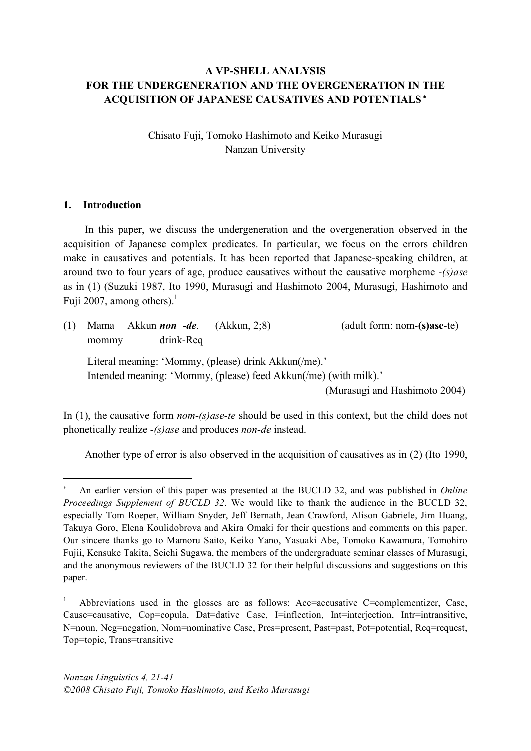# **A VP-SHELL ANALYSIS FOR THE UNDERGENERATION AND THE OVERGENERATION IN THE ACQUISITION OF JAPANESE CAUSATIVES AND POTENTIALS** <sup>∗</sup>

Chisato Fuji, Tomoko Hashimoto and Keiko Murasugi Nanzan University

### **1. Introduction**

 $\overline{a}$ 

In this paper, we discuss the undergeneration and the overgeneration observed in the acquisition of Japanese complex predicates. In particular, we focus on the errors children make in causatives and potentials. It has been reported that Japanese-speaking children, at around two to four years of age, produce causatives without the causative morpheme -*(s)ase* as in (1) (Suzuki 1987, Ito 1990, Murasugi and Hashimoto 2004, Murasugi, Hashimoto and Fuji 2007, among others).<sup>1</sup>

| (1) | mommy                                                                                                                    | drink-Req | Mama Akkun <i>non</i> -de. (Akkun, 2;8) | (adult form: nom-(s)ase-te)   |
|-----|--------------------------------------------------------------------------------------------------------------------------|-----------|-----------------------------------------|-------------------------------|
|     | Literal meaning: 'Mommy, (please) drink Akkun(/me).'<br>Intended meaning: 'Mommy, (please) feed Akkun(/me) (with milk).' |           |                                         | (Murasugi and Hashimoto 2004) |

In (1), the causative form *nom-(s)ase-te* should be used in this context, but the child does not phonetically realize *-(s)ase* and produces *non-de* instead.

Another type of error is also observed in the acquisition of causatives as in (2) (Ito 1990,

An earlier version of this paper was presented at the BUCLD 32, and was published in *Online Proceedings Supplement of BUCLD 32*. We would like to thank the audience in the BUCLD 32, especially Tom Roeper, William Snyder, Jeff Bernath, Jean Crawford, Alison Gabriele, Jim Huang, Takuya Goro, Elena Koulidobrova and Akira Omaki for their questions and comments on this paper. Our sincere thanks go to Mamoru Saito, Keiko Yano, Yasuaki Abe, Tomoko Kawamura, Tomohiro Fujii, Kensuke Takita, Seichi Sugawa, the members of the undergraduate seminar classes of Murasugi, and the anonymous reviewers of the BUCLD 32 for their helpful discussions and suggestions on this paper.

<sup>1</sup> Abbreviations used in the glosses are as follows: Acc=accusative C=complementizer, Case, Cause=causative, Cop=copula, Dat=dative Case, I=inflection, Int=interjection, Intr=intransitive, N=noun, Neg=negation, Nom=nominative Case, Pres=present, Past=past, Pot=potential, Req=request, Top=topic, Trans=transitive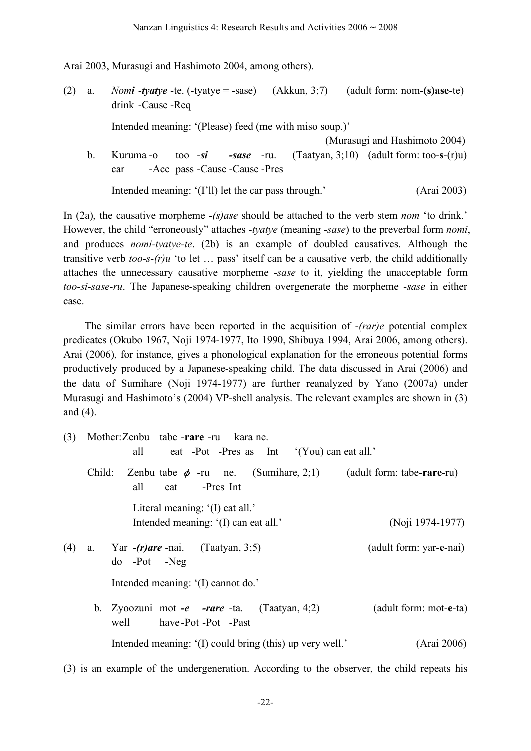Arai 2003, Murasugi and Hashimoto 2004, among others).

(2) a. *Nomi* -*tyatye* -te. (-tyatye = -sase) (Akkun, 3;7) (adult form: nom-**(s)ase**-te) drink -Cause -Req Intended meaning: '(Please) feed (me with miso soup.)' (Murasugi and Hashimoto 2004) b. Kuruma -o too -*si -sase* -ru. (Taatyan, 3;10) (adult form: too-**s**-(r)u) car -Acc pass -Cause -Cause -Pres Intended meaning: '(I'll) let the car pass through.' (Arai 2003)

In (2a), the causative morpheme *-(s)ase* should be attached to the verb stem *nom* 'to drink.' However, the child "erroneously" attaches -*tyatye* (meaning -*sase*) to the preverbal form *nomi*, and produces *nomi-tyatye-te*. (2b) is an example of doubled causatives. Although the transitive verb *too-s-(r)u* 'to let … pass' itself can be a causative verb, the child additionally attaches the unnecessary causative morpheme -*sase* to it, yielding the unacceptable form *too-si-sase-ru*. The Japanese-speaking children overgenerate the morpheme -*sase* in either case.

The similar errors have been reported in the acquisition of -*(rar)e* potential complex predicates (Okubo 1967, Noji 1974-1977, Ito 1990, Shibuya 1994, Arai 2006, among others). Arai (2006), for instance, gives a phonological explanation for the erroneous potential forms productively produced by a Japanese-speaking child. The data discussed in Arai (2006) and the data of Sumihare (Noji 1974-1977) are further reanalyzed by Yano (2007a) under Murasugi and Hashimoto's (2004) VP-shell analysis. The relevant examples are shown in (3) and (4).

(3) Mother:Zenbu tabe -**rare** -ru kara ne. all eat -Pot -Pres as Int '(You) can eat all.' Child: Zenbu tabe φ -ru ne. (Sumihare, 2;1) (adult form: tabe-**rare**-ru) all eat -Pres Int Literal meaning: '(I) eat all.' Intended meaning: '(I) can eat all.' (Noji 1974-1977) (4) a. Yar *-(r)are* -nai. (Taatyan, 3;5) (adult form: yar-**e**-nai) do -Pot -Neg Intended meaning: '(I) cannot do.' b. Zyoozuni mot *-e -rare* -ta. (Taatyan, 4;2) (adult form: mot-**e**-ta) well have -Pot -Pot -Past Intended meaning: '(I) could bring (this) up very well.' (Arai 2006)

(3) is an example of the undergeneration. According to the observer, the child repeats his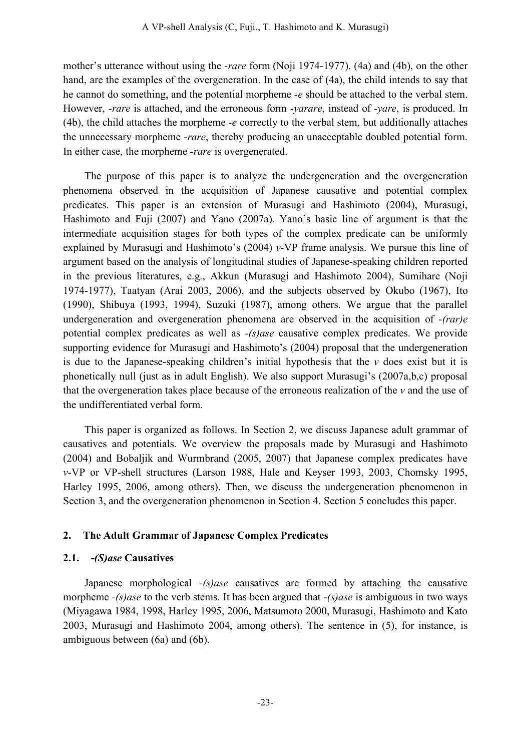mother's utterance without using the -*rare* form (Noji 1974-1977). (4a) and (4b), on the other hand, are the examples of the overgeneration. In the case of (4a), the child intends to say that he cannot do something, and the potential morpheme *-e* should be attached to the verbal stem. However, -*rare* is attached, and the erroneous form -*yarare*, instead of *-yare*, is produced. In (4b), the child attaches the morpheme -*e* correctly to the verbal stem, but additionally attaches the unnecessary morpheme -*rare*, thereby producing an unacceptable doubled potential form. In either case, the morpheme -*rare* is overgenerated.

The purpose of this paper is to analyze the undergeneration and the overgeneration phenomena observed in the acquisition of Japanese causative and potential complex predicates. This paper is an extension of Murasugi and Hashimoto (2004), Murasugi, Hashimoto and Fuji (2007) and Yano (2007a). Yano's basic line of argument is that the intermediate acquisition stages for both types of the complex predicate can be uniformly explained by Murasugi and Hashimoto's (2004) *v*-VP frame analysis. We pursue this line of argument based on the analysis of longitudinal studies of Japanese-speaking children reported in the previous literatures, e.g., Akkun (Murasugi and Hashimoto 2004), Sumihare (Noji 1974-1977), Taatyan (Arai 2003, 2006), and the subjects observed by Okubo (1967), Ito (1990), Shibuya (1993, 1994), Suzuki (1987), among others. We argue that the parallel undergeneration and overgeneration phenomena are observed in the acquisition of -*(rar)e* potential complex predicates as well as *-(s)ase* causative complex predicates. We provide supporting evidence for Murasugi and Hashimoto's (2004) proposal that the undergeneration is due to the Japanese-speaking children's initial hypothesis that the  $\nu$  does exist but it is phonetically null (just as in adult English). We also support Murasugi's (2007a,b,c) proposal that the overgeneration takes place because of the erroneous realization of the *v* and the use of the undifferentiated verbal form.

This paper is organized as follows. In Section 2, we discuss Japanese adult grammar of causatives and potentials. We overview the proposals made by Murasugi and Hashimoto (2004) and Bobaljik and Wurmbrand (2005, 2007) that Japanese complex predicates have *v*-VP or VP-shell structures (Larson 1988, Hale and Keyser 1993, 2003, Chomsky 1995, Harley 1995, 2006, among others). Then, we discuss the undergeneration phenomenon in Section 3, and the overgeneration phenomenon in Section 4. Section 5 concludes this paper.

### **2. The Adult Grammar of Japanese Complex Predicates**

### **2.1. -***(S)ase* **Causatives**

Japanese morphological *-(s)ase* causatives are formed by attaching the causative morpheme *-(s)ase* to the verb stems. It has been argued that -*(s)ase* is ambiguous in two ways (Miyagawa 1984, 1998, Harley 1995, 2006, Matsumoto 2000, Murasugi, Hashimoto and Kato 2003, Murasugi and Hashimoto 2004, among others). The sentence in (5), for instance, is ambiguous between (6a) and (6b).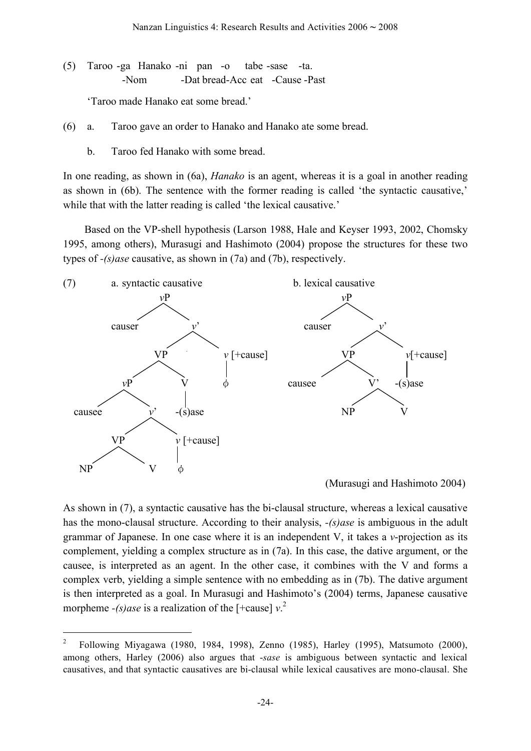(5) Taroo -ga Hanako -ni pan -o tabe -sase -ta. -Nom -Dat bread-Acc eat -Cause -Past

'Taroo made Hanako eat some bread.'

- (6) a. Taroo gave an order to Hanako and Hanako ate some bread.
	- b. Taroo fed Hanako with some bread.

In one reading, as shown in (6a), *Hanako* is an agent, whereas it is a goal in another reading as shown in (6b). The sentence with the former reading is called 'the syntactic causative,' while that with the latter reading is called 'the lexical causative.'

Based on the VP-shell hypothesis (Larson 1988, Hale and Keyser 1993, 2002, Chomsky 1995, among others), Murasugi and Hashimoto (2004) propose the structures for these two types of *-(s)ase* causative, as shown in (7a) and (7b), respectively.



(Murasugi and Hashimoto 2004)

As shown in (7), a syntactic causative has the bi-clausal structure, whereas a lexical causative has the mono-clausal structure. According to their analysis, *-(s)ase* is ambiguous in the adult grammar of Japanese. In one case where it is an independent V, it takes a *v*-projection as its complement, yielding a complex structure as in (7a). In this case, the dative argument, or the causee, is interpreted as an agent. In the other case, it combines with the V and forms a complex verb, yielding a simple sentence with no embedding as in (7b). The dative argument is then interpreted as a goal. In Murasugi and Hashimoto's (2004) terms, Japanese causative morpheme  $-(s)$ *ase* is a realization of the [+cause]  $v^2$ 

 <sup>2</sup> Following Miyagawa (1980, 1984, 1998), Zenno (1985), Harley (1995), Matsumoto (2000), among others, Harley (2006) also argues that -*sase* is ambiguous between syntactic and lexical causatives, and that syntactic causatives are bi-clausal while lexical causatives are mono-clausal. She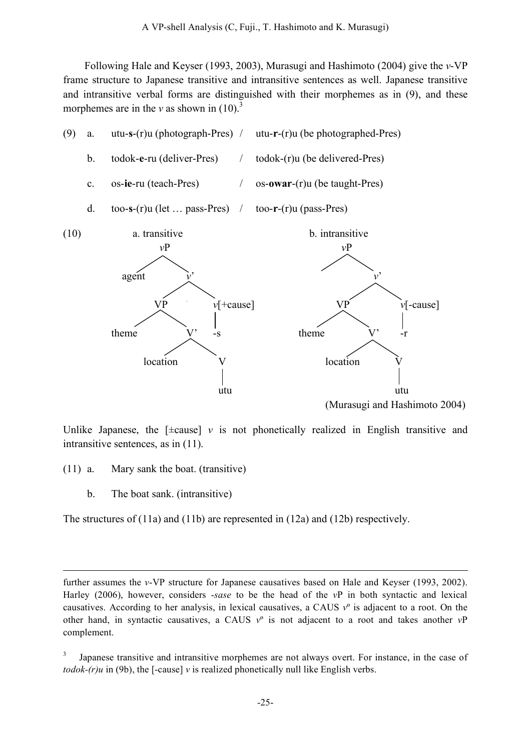Following Hale and Keyser (1993, 2003), Murasugi and Hashimoto (2004) give the *v*-VP frame structure to Japanese transitive and intransitive sentences as well. Japanese transitive and intransitive verbal forms are distinguished with their morphemes as in (9), and these morphemes are in the  $v$  as shown in  $(10)^3$ 



Unlike Japanese, the  $[\pm \text{cause}]$  *v* is not phonetically realized in English transitive and intransitive sentences, as in (11).

- (11) a. Mary sank the boat. (transitive)
	- b. The boat sank. (intransitive)

1

The structures of (11a) and (11b) are represented in (12a) and (12b) respectively.

further assumes the *v*-VP structure for Japanese causatives based on Hale and Keyser (1993, 2002). Harley (2006), however, considers -*sase* to be the head of the *v*P in both syntactic and lexical causatives. According to her analysis, in lexical causatives, a CAUS *v*º is adjacent to a root. On the other hand, in syntactic causatives, a CAUS *v*º is not adjacent to a root and takes another *v*P complement.

Japanese transitive and intransitive morphemes are not always overt. For instance, in the case of *todok-(r)u* in (9b), the [-cause]  $\nu$  is realized phonetically null like English verbs.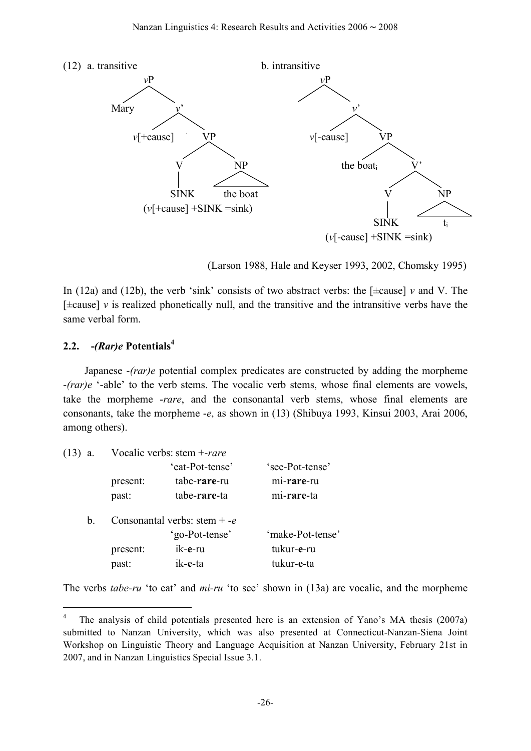

(Larson 1988, Hale and Keyser 1993, 2002, Chomsky 1995)

In (12a) and (12b), the verb 'sink' consists of two abstract verbs: the [±cause] *v* and V. The  $[\pm \text{cause}]$  *v* is realized phonetically null, and the transitive and the intransitive verbs have the same verbal form.

# **2.2. -***(Rar)e* **Potentials 4**

Japanese -*(rar)e* potential complex predicates are constructed by adding the morpheme -*(rar)e* '-able' to the verb stems. The vocalic verb stems, whose final elements are vowels, take the morpheme -*rare*, and the consonantal verb stems, whose final elements are consonants, take the morpheme -*e*, as shown in (13) (Shibuya 1993, Kinsui 2003, Arai 2006, among others).

| 'see-Pot-tense'  |
|------------------|
| mi-rare-ru       |
| mi-rare-ta       |
|                  |
| 'make-Pot-tense' |
| tukur-e-ru       |
| tukur-e-ta       |
|                  |

The verbs *tabe-ru* 'to eat' and *mi-ru* 'to see' shown in (13a) are vocalic, and the morpheme

 <sup>4</sup> The analysis of child potentials presented here is an extension of Yano's MA thesis (2007a) submitted to Nanzan University, which was also presented at Connecticut-Nanzan-Siena Joint Workshop on Linguistic Theory and Language Acquisition at Nanzan University, February 21st in 2007, and in Nanzan Linguistics Special Issue 3.1.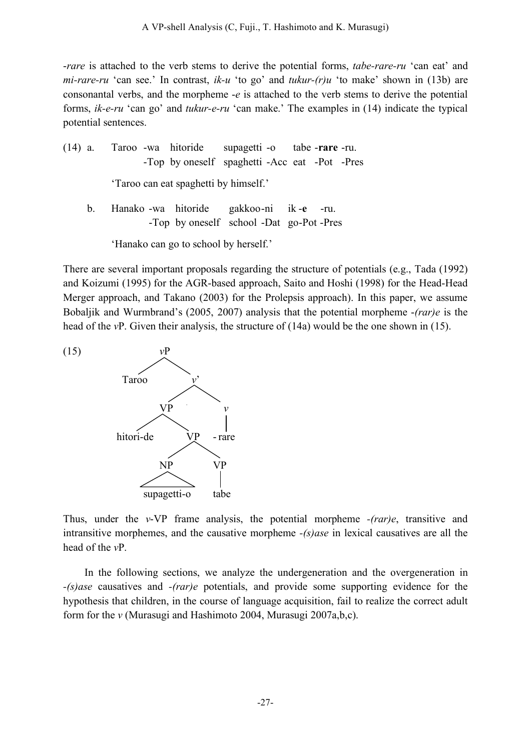-*rare* is attached to the verb stems to derive the potential forms, *tabe-rare-ru* 'can eat' and *mi-rare-ru* 'can see.' In contrast, *ik-u* 'to go' and *tukur-(r)u* 'to make' shown in (13b) are consonantal verbs, and the morpheme -*e* is attached to the verb stems to derive the potential forms, *ik-e-ru* 'can go' and *tukur-e-ru* 'can make.' The examples in (14) indicate the typical potential sentences.

|                                            |  |  |  | $(14)$ a. Taroo -wa hitoride          | supagetti -o tabe -rare -ru.<br>-Top by oneself spaghetti -Acc eat -Pot -Pres |  |  |
|--------------------------------------------|--|--|--|---------------------------------------|-------------------------------------------------------------------------------|--|--|
|                                            |  |  |  | 'Taroo can eat spaghetti by himself.' |                                                                               |  |  |
| b. Hanako -wa hitoride gakkoo-ni ik-e -ru. |  |  |  |                                       | -Top by oneself school -Dat go-Pot-Pres                                       |  |  |
|                                            |  |  |  | 'Hanako can go to school by herself.' |                                                                               |  |  |

There are several important proposals regarding the structure of potentials (e.g., Tada (1992) and Koizumi (1995) for the AGR-based approach, Saito and Hoshi (1998) for the Head-Head Merger approach, and Takano (2003) for the Prolepsis approach). In this paper, we assume Bobaljik and Wurmbrand's (2005, 2007) analysis that the potential morpheme -*(rar)e* is the head of the *v*P. Given their analysis, the structure of (14a) would be the one shown in (15).



Thus, under the *v*-VP frame analysis, the potential morpheme *-(rar)e*, transitive and intransitive morphemes, and the causative morpheme *-(s)ase* in lexical causatives are all the head of the *v*P.

In the following sections, we analyze the undergeneration and the overgeneration in *-(s)ase* causatives and *-(rar)e* potentials, and provide some supporting evidence for the hypothesis that children, in the course of language acquisition, fail to realize the correct adult form for the *v* (Murasugi and Hashimoto 2004, Murasugi 2007a,b,c).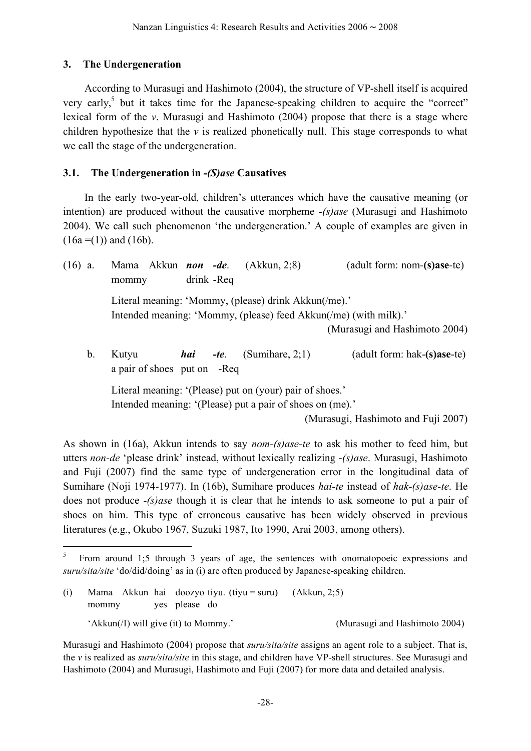# **3. The Undergeneration**

According to Murasugi and Hashimoto (2004), the structure of VP-shell itself is acquired very early,<sup>5</sup> but it takes time for the Japanese-speaking children to acquire the "correct" lexical form of the *v*. Murasugi and Hashimoto (2004) propose that there is a stage where children hypothesize that the  $\nu$  is realized phonetically null. This stage corresponds to what we call the stage of the undergeneration.

# **3.1. The Undergeneration in** *-(S)ase* **Causatives**

In the early two-year-old, children's utterances which have the causative meaning (or intention) are produced without the causative morpheme *-(s)ase* (Murasugi and Hashimoto 2004). We call such phenomenon 'the undergeneration.' A couple of examples are given in  $(16a = (1))$  and  $(16b)$ .

| $(16)$ a. | Mama Akkun <i>non -de</i> .                                                                                              |     |              | (Akkun, 2;8)       | $(adult form: nom-(s)ase-te)$         |  |  |  |  |
|-----------|--------------------------------------------------------------------------------------------------------------------------|-----|--------------|--------------------|---------------------------------------|--|--|--|--|
|           | mommy                                                                                                                    |     | drink - Req  |                    |                                       |  |  |  |  |
|           | Literal meaning: 'Mommy, (please) drink Akkun(/me).'<br>Intended meaning: 'Mommy, (please) feed Akkun(/me) (with milk).' |     |              |                    |                                       |  |  |  |  |
|           |                                                                                                                          |     |              |                    | (Murasugi and Hashimoto 2004)         |  |  |  |  |
| b.        | Kutyu<br>a pair of shoes put on                                                                                          | hai | -te.<br>-Req | (Sumihare, $2:1$ ) | $($ adult form: hak- $(s)$ ase-te $)$ |  |  |  |  |

Literal meaning: '(Please) put on (your) pair of shoes.' Intended meaning: '(Please) put a pair of shoes on (me).'

(Murasugi, Hashimoto and Fuji 2007)

As shown in (16a), Akkun intends to say *nom-(s)ase-te* to ask his mother to feed him, but utters *non-de* 'please drink' instead, without lexically realizing -*(s)ase*. Murasugi, Hashimoto and Fuji (2007) find the same type of undergeneration error in the longitudinal data of Sumihare (Noji 1974-1977). In (16b), Sumihare produces *hai-te* instead of *hak-(s)ase-te*. He does not produce *-(s)ase* though it is clear that he intends to ask someone to put a pair of shoes on him. This type of erroneous causative has been widely observed in previous literatures (e.g., Okubo 1967, Suzuki 1987, Ito 1990, Arai 2003, among others).

 <sup>5</sup> From around 1;5 through <sup>3</sup> years of age, the sentences with onomatopoeic expressions and *suru/sita/site* 'do/did/doing' as in (i) are often produced by Japanese-speaking children.

<sup>(</sup>i) Mama Akkun hai doozyo tiyu. (tiyu = suru) (Akkun, 2;5) mommy yes please do 'Akkun(/I) will give (it) to Mommy.' (Murasugi and Hashimoto 2004)

Murasugi and Hashimoto (2004) propose that *suru/sita/site* assigns an agent role to a subject. That is, the *v* is realized as *suru/sita/site* in this stage, and children have VP-shell structures. See Murasugi and Hashimoto (2004) and Murasugi, Hashimoto and Fuji (2007) for more data and detailed analysis.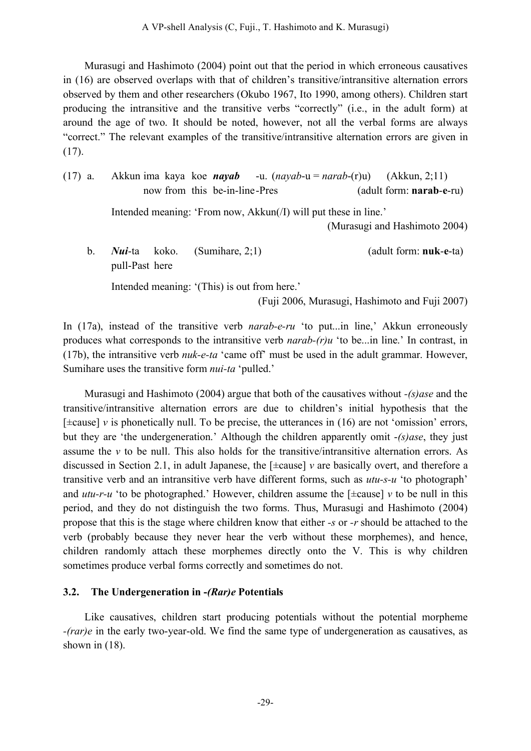Murasugi and Hashimoto (2004) point out that the period in which erroneous causatives in (16) are observed overlaps with that of children's transitive/intransitive alternation errors observed by them and other researchers (Okubo 1967, Ito 1990, among others). Children start producing the intransitive and the transitive verbs "correctly" (i.e., in the adult form) at around the age of two. It should be noted, however, not all the verbal forms are always "correct." The relevant examples of the transitive/intransitive alternation errors are given in (17).

(17) a. Akkun ima kaya koe *nayab* -u. (*nayab*-u = *narab*-(r)u) (Akkun, 2;11) now from this be-in-line-Pres (adult form: **narab**-**e**-ru)

Intended meaning: 'From now, Akkun(/I) will put these in line.'

(Murasugi and Hashimoto 2004)

b. *Nui*-ta koko. (Sumihare, 2;1) (adult form: **nuk**-**e**-ta) pull-Past here

Intended meaning: '(This) is out from here.'

(Fuji 2006, Murasugi, Hashimoto and Fuji 2007)

In (17a), instead of the transitive verb *narab-e-ru* 'to put...in line,' Akkun erroneously produces what corresponds to the intransitive verb *narab-(r)u* 'to be...in line.' In contrast, in (17b), the intransitive verb *nuk-e-ta* 'came off' must be used in the adult grammar. However, Sumihare uses the transitive form *nui-ta* 'pulled.'

Murasugi and Hashimoto (2004) argue that both of the causatives without *-(s)ase* and the transitive/intransitive alternation errors are due to children's initial hypothesis that the [±cause] *v* is phonetically null. To be precise, the utterances in (16) are not 'omission' errors, but they are 'the undergeneration.' Although the children apparently omit -*(s)ase*, they just assume the *v* to be null. This also holds for the transitive/intransitive alternation errors. As discussed in Section 2.1, in adult Japanese, the [±cause] *v* are basically overt, and therefore a transitive verb and an intransitive verb have different forms, such as *utu-s-u* 'to photograph' and  $utu-r-u$  'to be photographed.' However, children assume the [ $\pm$ cause] *v* to be null in this period, and they do not distinguish the two forms. Thus, Murasugi and Hashimoto (2004) propose that this is the stage where children know that either *-s* or *-r* should be attached to the verb (probably because they never hear the verb without these morphemes), and hence, children randomly attach these morphemes directly onto the V. This is why children sometimes produce verbal forms correctly and sometimes do not.

# **3.2. The Undergeneration in -***(Rar)e* **Potentials**

Like causatives, children start producing potentials without the potential morpheme *-(rar)e* in the early two-year-old. We find the same type of undergeneration as causatives, as shown in  $(18)$ .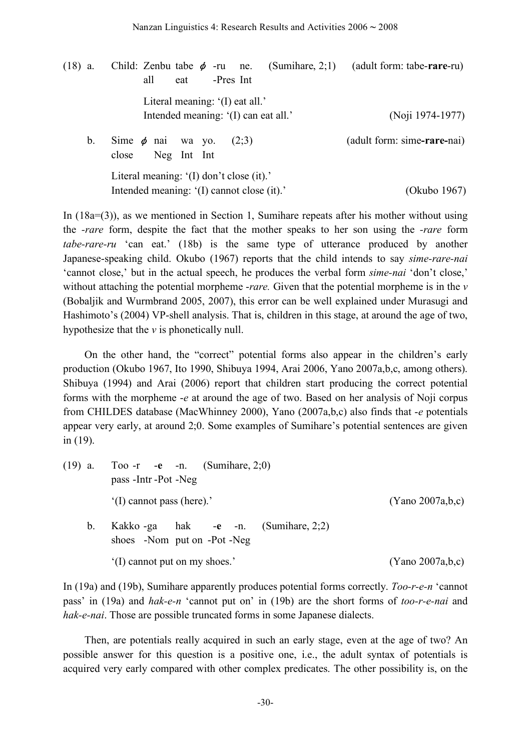(18) a. Child: Zenbu tabe φ -ru ne. (Sumihare, 2;1) (adult form: tabe-**rare**-ru) all eat -Pres Int Literal meaning: '(I) eat all.' Intended meaning: '(I) can eat all.' (Noji 1974-1977) b. Sime φ nai wa yo. (2;3) (adult form: sime**-rare-**nai) close Neg Int Int Literal meaning: '(I) don't close (it).' Intended meaning: '(I) cannot close (it).' (Okubo 1967)

In (18a=(3)), as we mentioned in Section 1, Sumihare repeats after his mother without using the *-rare* form, despite the fact that the mother speaks to her son using the *-rare* form *tabe-rare-ru* 'can eat.' (18b) is the same type of utterance produced by another Japanese-speaking child. Okubo (1967) reports that the child intends to say *sime-rare-nai* 'cannot close,' but in the actual speech, he produces the verbal form *sime-nai* 'don't close,' without attaching the potential morpheme -*rare.* Given that the potential morpheme is in the *v* (Bobaljik and Wurmbrand 2005, 2007), this error can be well explained under Murasugi and Hashimoto's (2004) VP-shell analysis. That is, children in this stage, at around the age of two, hypothesize that the *v* is phonetically null.

On the other hand, the "correct" potential forms also appear in the children's early production (Okubo 1967, Ito 1990, Shibuya 1994, Arai 2006, Yano 2007a,b,c, among others). Shibuya (1994) and Arai (2006) report that children start producing the correct potential forms with the morpheme -*e* at around the age of two. Based on her analysis of Noji corpus from CHILDES database (MacWhinney 2000), Yano (2007a,b,c) also finds that -*e* potentials appear very early, at around 2;0. Some examples of Sumihare's potential sentences are given in (19).

|             | (19) a. Too -r -e -n. (Sumihare, 2;0)<br>pass - Intr - Pot - Neg    |                  |  |  |  |  |  |
|-------------|---------------------------------------------------------------------|------------------|--|--|--|--|--|
|             | '(I) cannot pass (here).'                                           | (Yano 2007a,b,c) |  |  |  |  |  |
| $b_{\cdot}$ | Kakko -ga hak -e -n. (Sumihare, 2;2)<br>shoes -Nom put on -Pot -Neg |                  |  |  |  |  |  |
|             | '(I) cannot put on my shoes.'                                       | (Yano 2007a,b,c) |  |  |  |  |  |

In (19a) and (19b), Sumihare apparently produces potential forms correctly. *Too-r-e-n* 'cannot pass' in (19a) and *hak-e-n* 'cannot put on' in (19b) are the short forms of *too-r-e-nai* and *hak-e-nai*. Those are possible truncated forms in some Japanese dialects.

Then, are potentials really acquired in such an early stage, even at the age of two? An possible answer for this question is a positive one, i.e., the adult syntax of potentials is acquired very early compared with other complex predicates. The other possibility is, on the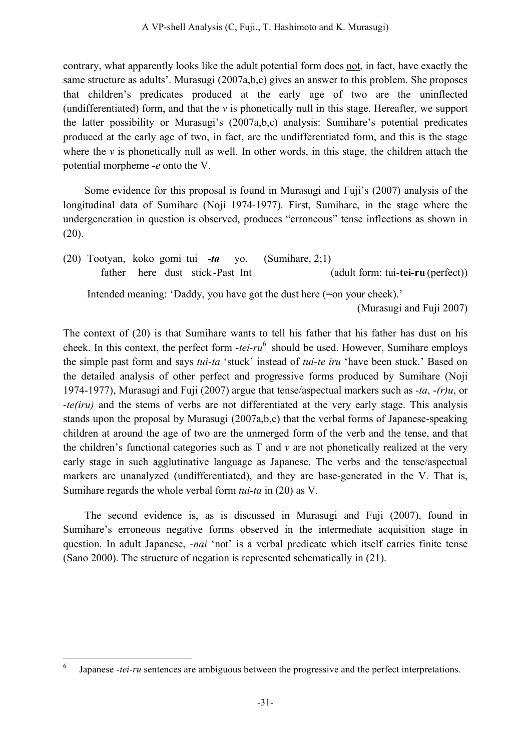contrary, what apparently looks like the adult potential form does not, in fact, have exactly the same structure as adults'. Murasugi (2007a,b,c) gives an answer to this problem. She proposes that children's predicates produced at the early age of two are the uninflected (undifferentiated) form, and that the *v* is phonetically null in this stage. Hereafter, we support the latter possibility or Murasugi's (2007a,b,c) analysis: Sumihare's potential predicates produced at the early age of two, in fact, are the undifferentiated form, and this is the stage where the  $\nu$  is phonetically null as well. In other words, in this stage, the children attach the potential morpheme -*e* onto the V.

Some evidence for this proposal is found in Murasugi and Fuji's (2007) analysis of the longitudinal data of Sumihare (Noji 1974-1977). First, Sumihare, in the stage where the undergeneration in question is observed, produces "erroneous" tense inflections as shown in (20).

(20) Tootyan, koko gomi tui *-ta* yo. (Sumihare, 2;1) father here dust stick-Past Int (adult form: tui-**tei-ru** (perfect)) Intended meaning: 'Daddy, you have got the dust here (=on your cheek).' (Murasugi and Fuji 2007)

The context of (20) is that Sumihare wants to tell his father that his father has dust on his cheek. In this context, the perfect form -*tei-ru* <sup>6</sup> should be used. However, Sumihare employs the simple past form and says *tui-ta* 'stuck' instead of *tui-te iru* 'have been stuck.' Based on the detailed analysis of other perfect and progressive forms produced by Sumihare (Noji 1974-1977), Murasugi and Fuji (2007) argue that tense/aspectual markers such as -*ta*, -*(r)u*, or -*te(iru)* and the stems of verbs are not differentiated at the very early stage. This analysis stands upon the proposal by Murasugi (2007a,b,c) that the verbal forms of Japanese-speaking children at around the age of two are the unmerged form of the verb and the tense, and that the children's functional categories such as T and *v* are not phonetically realized at the very early stage in such agglutinative language as Japanese. The verbs and the tense/aspectual markers are unanalyzed (undifferentiated), and they are base-generated in the V. That is, Sumihare regards the whole verbal form *tui-ta* in (20) as V.

The second evidence is, as is discussed in Murasugi and Fuji (2007), found in Sumihare's erroneous negative forms observed in the intermediate acquisition stage in question. In adult Japanese, -*nai* 'not' is a verbal predicate which itself carries finite tense (Sano 2000). The structure of negation is represented schematically in (21).

Japanese *-tei-ru* sentences are ambiguous between the progressive and the perfect interpretations.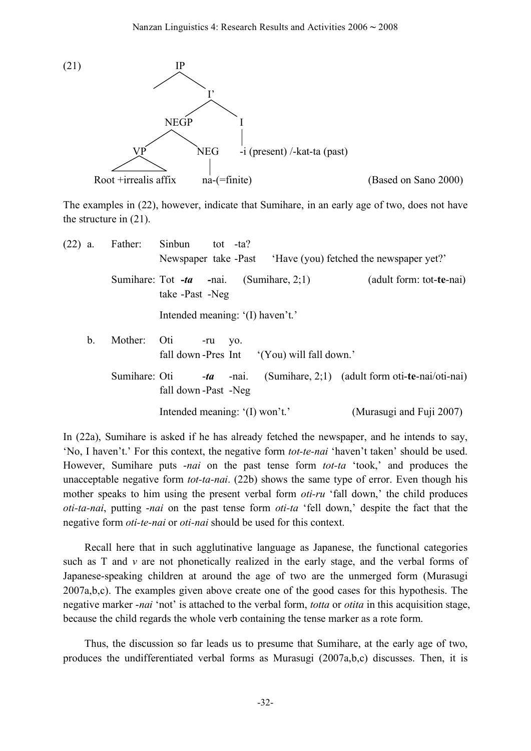

The examples in (22), however, indicate that Sumihare, in an early age of two, does not have the structure in (21).

| $(22)$ a. |               | Father:       | Sinbun<br>tot -ta?<br>Newspaper take -Past 'Have (you) fetched the newspaper yet?' |     |             |                                           |                                                 |  |  |
|-----------|---------------|---------------|------------------------------------------------------------------------------------|-----|-------------|-------------------------------------------|-------------------------------------------------|--|--|
|           |               |               | take -Past -Neg                                                                    |     |             | Sumihare: Tot $-ta$ -nai. (Sumihare, 2;1) | (adult form: tot-te-nai)                        |  |  |
|           |               |               | Intended meaning: '(I) haven't.'                                                   |     |             |                                           |                                                 |  |  |
|           | $\mathbf b$ . | Mother:       | Oti                                                                                | -ru | VO.         | fall down-Pres Int (You) will fall down.' |                                                 |  |  |
|           |               | Sumihare: Oti | fall down-Past -Neg                                                                |     | $-ta$ -nai. |                                           | (Sumihare, 2;1) (adult form oti-te-nai/oti-nai) |  |  |
|           |               |               | Intended meaning: '(I) won't.'                                                     |     |             |                                           | (Murasugi and Fuji 2007)                        |  |  |

In (22a), Sumihare is asked if he has already fetched the newspaper, and he intends to say, 'No, I haven't.' For this context, the negative form *tot-te-nai* 'haven't taken' should be used. However, Sumihare puts -*nai* on the past tense form *tot-ta* 'took,' and produces the unacceptable negative form *tot-ta-nai*. (22b) shows the same type of error. Even though his mother speaks to him using the present verbal form *oti-ru* 'fall down,' the child produces *oti-ta-nai*, putting -*nai* on the past tense form *oti-ta* 'fell down,' despite the fact that the negative form *oti-te-nai* or *oti-nai* should be used for this context.

Recall here that in such agglutinative language as Japanese, the functional categories such as  $T$  and  $\nu$  are not phonetically realized in the early stage, and the verbal forms of Japanese-speaking children at around the age of two are the unmerged form (Murasugi 2007a,b,c). The examples given above create one of the good cases for this hypothesis. The negative marker -*nai* 'not' is attached to the verbal form, *totta* or *otita* in this acquisition stage, because the child regards the whole verb containing the tense marker as a rote form.

Thus, the discussion so far leads us to presume that Sumihare, at the early age of two, produces the undifferentiated verbal forms as Murasugi (2007a,b,c) discusses. Then, it is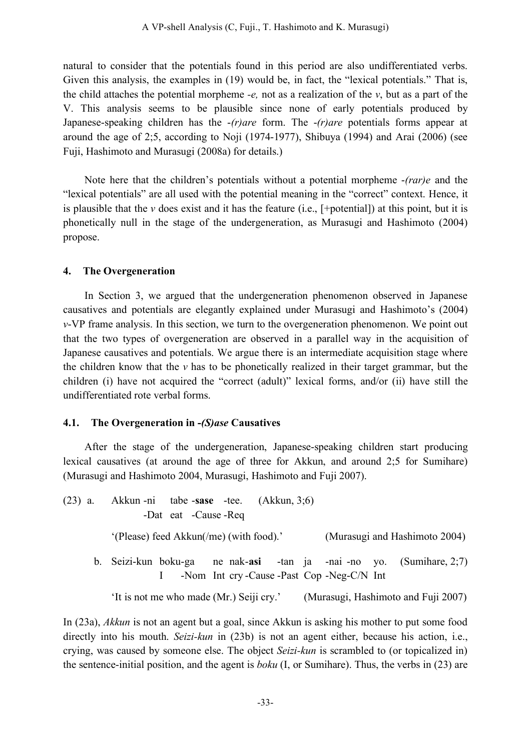natural to consider that the potentials found in this period are also undifferentiated verbs. Given this analysis, the examples in (19) would be, in fact, the "lexical potentials." That is, the child attaches the potential morpheme *-e,* not as a realization of the *v*, but as a part of the V. This analysis seems to be plausible since none of early potentials produced by Japanese-speaking children has the -*(r)are* form. The -*(r)are* potentials forms appear at around the age of 2;5, according to Noji (1974-1977), Shibuya (1994) and Arai (2006) (see Fuji, Hashimoto and Murasugi (2008a) for details.)

Note here that the children's potentials without a potential morpheme -*(rar)e* and the "lexical potentials" are all used with the potential meaning in the "correct" context. Hence, it is plausible that the  $\nu$  does exist and it has the feature (i.e.,  $[+\text{potential}]$ ) at this point, but it is phonetically null in the stage of the undergeneration, as Murasugi and Hashimoto (2004) propose.

### **4. The Overgeneration**

In Section 3, we argued that the undergeneration phenomenon observed in Japanese causatives and potentials are elegantly explained under Murasugi and Hashimoto's (2004) *v*-VP frame analysis. In this section, we turn to the overgeneration phenomenon. We point out that the two types of overgeneration are observed in a parallel way in the acquisition of Japanese causatives and potentials. We argue there is an intermediate acquisition stage where the children know that the *v* has to be phonetically realized in their target grammar, but the children (i) have not acquired the "correct (adult)" lexical forms, and/or (ii) have still the undifferentiated rote verbal forms.

### **4.1. The Overgeneration in -***(S)ase* **Causatives**

After the stage of the undergeneration, Japanese-speaking children start producing lexical causatives (at around the age of three for Akkun, and around 2;5 for Sumihare) (Murasugi and Hashimoto 2004, Murasugi, Hashimoto and Fuji 2007).

| $(23)$ a. Akkun -ni tabe -sase -tee. $(Akkun, 3,6)$ | -Dat eat -Cause -Req |                                             |  |                                                                     |
|-----------------------------------------------------|----------------------|---------------------------------------------|--|---------------------------------------------------------------------|
| '(Please) feed Akkun(/me) (with food).'             |                      |                                             |  | (Murasugi and Hashimoto 2004)                                       |
|                                                     |                      | -Nom Int cry-Cause - Past Cop - Neg-C/N Int |  | b. Seizi-kun boku-ga ne nak-asi -tan ja -nai-no yo. (Sumihare, 2,7) |

'It is not me who made (Mr.) Seiji cry.' (Murasugi, Hashimoto and Fuji 2007)

In (23a), *Akkun* is not an agent but a goal, since Akkun is asking his mother to put some food directly into his mouth. *Seizi-kun* in (23b) is not an agent either, because his action, i.e., crying, was caused by someone else. The object *Seizi-kun* is scrambled to (or topicalized in) the sentence-initial position, and the agent is *boku* (I, or Sumihare). Thus, the verbs in (23) are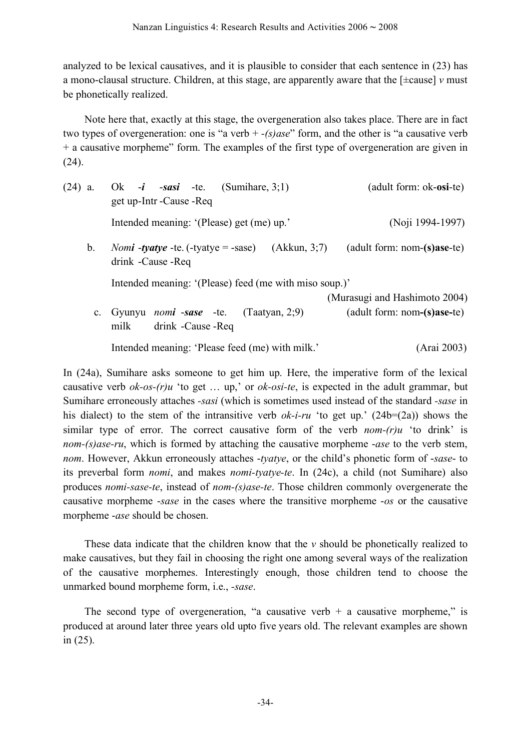analyzed to be lexical causatives, and it is plausible to consider that each sentence in (23) has a mono-clausal structure. Children, at this stage, are apparently aware that the [±cause] *v* must be phonetically realized.

Note here that, exactly at this stage, the overgeneration also takes place. There are in fact two types of overgeneration: one is "a verb + *-(s)ase*" form, and the other is "a causative verb + a causative morpheme" form. The examples of the first type of overgeneration are given in (24).

| $(24)$ a.   | Ok -i -sasi -te. (Sumihare, $3(1)$ )<br>get up-Intr-Cause - Req                           | (adult form: ok- <b>osi</b> -te)                                       |  |  |  |  |
|-------------|-------------------------------------------------------------------------------------------|------------------------------------------------------------------------|--|--|--|--|
|             | Intended meaning: '(Please) get (me) up.'                                                 | (Noji 1994-1997)                                                       |  |  |  |  |
| $b_{\cdot}$ | (Akkun, 3;7)<br><i>Nomi</i> - <i>tyatye</i> -te. (-tyatye = -sase)<br>drink - Cause - Req | $($ adult form: nom- $(s)$ ase-te $)$                                  |  |  |  |  |
|             | Intended meaning: '(Please) feed (me with miso soup.)'                                    |                                                                        |  |  |  |  |
|             | c. Gyunyu <i>nomi</i> -sase -te. (Taatyan, 2:9)<br>drink - Cause - Req<br>milk            | (Murasugi and Hashimoto 2004)<br>$($ adult form: nom- $(s)$ ase-te $)$ |  |  |  |  |
|             | Intended meaning: 'Please feed (me) with milk.'                                           | (Arai 2003)                                                            |  |  |  |  |

In (24a), Sumihare asks someone to get him up. Here, the imperative form of the lexical causative verb *ok-os-(r)u* 'to get … up,' or *ok-osi-te*, is expected in the adult grammar, but Sumihare erroneously attaches *-sasi* (which is sometimes used instead of the standard *-sase* in his dialect) to the stem of the intransitive verb *ok-i-ru* 'to get up.' (24b=(2a)) shows the similar type of error. The correct causative form of the verb *nom-(r)u* 'to drink' is *nom-(s)ase-ru*, which is formed by attaching the causative morpheme -*ase* to the verb stem, *nom*. However, Akkun erroneously attaches -*tyatye*, or the child's phonetic form of -*sase*- to its preverbal form *nomi*, and makes *nomi-tyatye-te*. In (24c), a child (not Sumihare) also produces *nomi-sase-te*, instead of *nom-(s)ase-te*. Those children commonly overgenerate the causative morpheme -*sase* in the cases where the transitive morpheme -*os* or the causative morpheme -*ase* should be chosen.

These data indicate that the children know that the *v* should be phonetically realized to make causatives, but they fail in choosing the right one among several ways of the realization of the causative morphemes. Interestingly enough, those children tend to choose the unmarked bound morpheme form, i.e., *-sase*.

The second type of overgeneration, "a causative verb  $+$  a causative morpheme," is produced at around later three years old upto five years old. The relevant examples are shown in (25).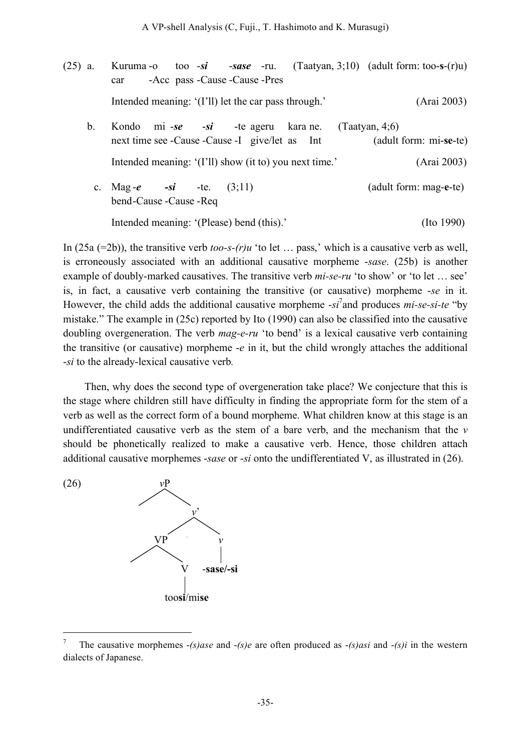- (25) a. Kuruma -o too -*si* -*sase* -ru. (Taatyan, 3;10) (adult form: too-**s**-(r)u) car -Acc pass -Cause -Cause -Pres Intended meaning: '(I'll) let the car pass through.' (Arai 2003) b. Kondo mi -*se* -*si* -te ageru kara ne. (Taatyan, 4;6) next time see -Cause -Cause -I give/let as Int (adult form: mi-**se**-te) Intended meaning: '(I'll) show (it to) you next time.' (Arai 2003)
	- c. Mag -*e -si* -te. (3;11) (adult form: mag-**e**-te) bend-Cause -Cause -Req Intended meaning: '(Please) bend (this).' (Ito 1990)

In (25a (=2b)), the transitive verb *too-s-(r)u* 'to let … pass,' which is a causative verb as well, is erroneously associated with an additional causative morpheme -*sase*. (25b) is another example of doubly-marked causatives. The transitive verb *mi-se-ru* 'to show' or 'to let … see' is, in fact, a causative verb containing the transitive (or causative) morpheme -*se* in it. However, the child adds the additional causative morpheme -*si* 7 and produces *mi-se-si-te* "by mistake." The example in (25c) reported by Ito (1990) can also be classified into the causative doubling overgeneration. The verb *mag-e-ru* 'to bend' is a lexical causative verb containing the transitive (or causative) morpheme -*e* in it, but the child wrongly attaches the additional -*si* to the already-lexical causative verb*.*

Then, why does the second type of overgeneration take place? We conjecture that this is the stage where children still have difficulty in finding the appropriate form for the stem of a verb as well as the correct form of a bound morpheme. What children know at this stage is an undifferentiated causative verb as the stem of a bare verb, and the mechanism that the *v* should be phonetically realized to make a causative verb. Hence, those children attach additional causative morphemes -*sase* or -*si* onto the undifferentiated V, as illustrated in (26).





 <sup>7</sup> The causative morphemes -*(s)ase* and -*(s)e* are often produced as -*(s)asi* and -*(s)i* in the western dialects of Japanese.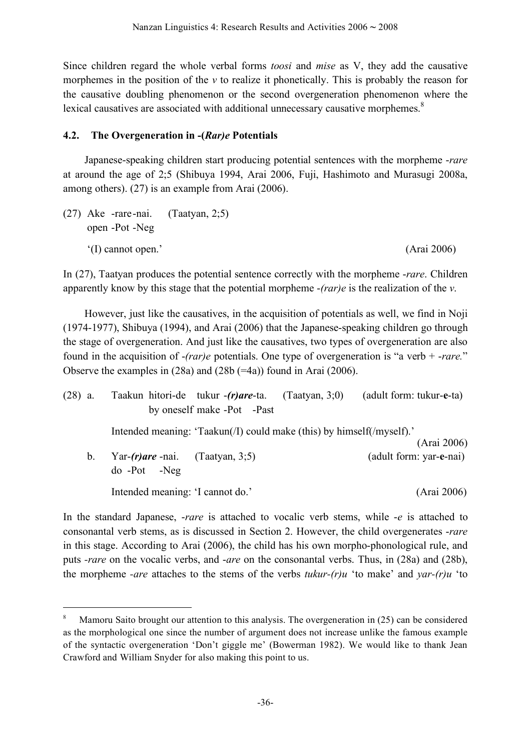Since children regard the whole verbal forms *toosi* and *mise* as V, they add the causative morphemes in the position of the  $\nu$  to realize it phonetically. This is probably the reason for the causative doubling phenomenon or the second overgeneration phenomenon where the lexical causatives are associated with additional unnecessary causative morphemes.<sup>8</sup>

## **4.2. The Overgeneration in -(***Rar)e* **Potentials**

Japanese-speaking children start producing potential sentences with the morpheme -*rare* at around the age of 2;5 (Shibuya 1994, Arai 2006, Fuji, Hashimoto and Murasugi 2008a, among others). (27) is an example from Arai (2006).

(27) Ake -rare-nai. (Taatyan, 2;5) open -Pot -Neg '(I) cannot open.' (Arai 2006)

In (27), Taatyan produces the potential sentence correctly with the morpheme -*rare*. Children apparently know by this stage that the potential morpheme -*(rar)e* is the realization of the *v*.

However, just like the causatives, in the acquisition of potentials as well, we find in Noji (1974-1977), Shibuya (1994), and Arai (2006) that the Japanese-speaking children go through the stage of overgeneration. And just like the causatives, two types of overgeneration are also found in the acquisition of -*(rar)e* potentials. One type of overgeneration is "a verb + -*rare.*" Observe the examples in (28a) and (28b (=4a)) found in Arai (2006).

| $(28)$ a. |             |                                                         | Taakun hitori-de tukur -(r)are-ta. (Taatyan, 3;0)                     | (adult form: tukur-e-ta) |
|-----------|-------------|---------------------------------------------------------|-----------------------------------------------------------------------|--------------------------|
|           |             |                                                         | by oneself make -Pot -Past                                            |                          |
|           |             |                                                         | Intended meaning: 'Taakun(/I) could make (this) by himself(/myself).' | (Arai 2006)              |
|           | $b_{\cdot}$ | Yar- $(r)$ are -nai. (Taatyan, 3;5)<br>$do - Pot - Neg$ |                                                                       | (adult form: yar-e-nai)  |
|           |             | Intended meaning: 'I cannot do.'                        |                                                                       | (Arai 2006)              |

In the standard Japanese, -*rare* is attached to vocalic verb stems, while -*e* is attached to consonantal verb stems, as is discussed in Section 2. However, the child overgenerates -*rare* in this stage. According to Arai (2006), the child has his own morpho-phonological rule, and puts *-rare* on the vocalic verbs, and -*are* on the consonantal verbs. Thus, in (28a) and (28b), the morpheme *-are* attaches to the stems of the verbs *tukur-(r)u* 'to make' and *yar-(r)u* 'to

 <sup>8</sup> Mamoru Saito brought our attention to this analysis. The overgeneration in (25) can be considered as the morphological one since the number of argument does not increase unlike the famous example of the syntactic overgeneration 'Don't giggle me' (Bowerman 1982). We would like to thank Jean Crawford and William Snyder for also making this point to us.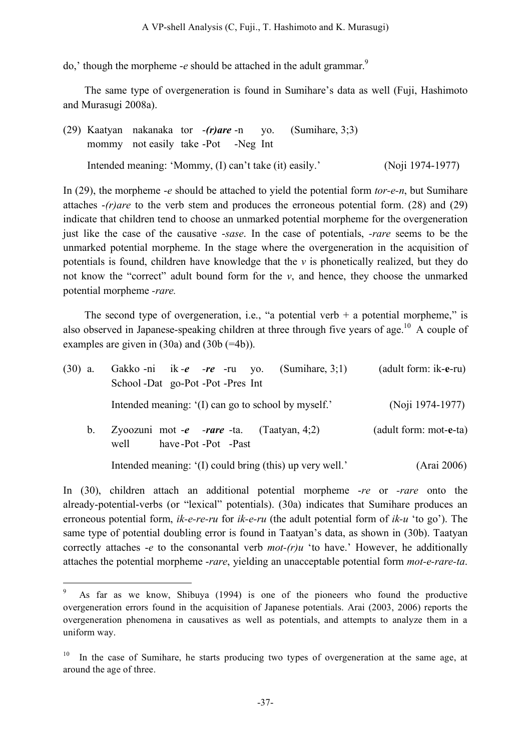do,' though the morpheme -*e* should be attached in the adult grammar.<sup>9</sup>

The same type of overgeneration is found in Sumihare's data as well (Fuji, Hashimoto and Murasugi 2008a).

(29) Kaatyan nakanaka tor -*(r)are* -n yo. (Sumihare, 3;3) mommy not easily take -Pot -Neg Int Intended meaning: 'Mommy, (I) can't take (it) easily.' (Noji 1974-1977)

In (29), the morpheme -*e* should be attached to yield the potential form *tor-e-n*, but Sumihare attaches -*(r)are* to the verb stem and produces the erroneous potential form. (28) and (29) indicate that children tend to choose an unmarked potential morpheme for the overgeneration just like the case of the causative -*sase*. In the case of potentials, *-rare* seems to be the unmarked potential morpheme. In the stage where the overgeneration in the acquisition of potentials is found, children have knowledge that the *v* is phonetically realized, but they do not know the "correct" adult bound form for the *v*, and hence, they choose the unmarked potential morpheme *-rare.*

The second type of overgeneration, i.e., "a potential verb  $+$  a potential morpheme," is also observed in Japanese-speaking children at three through five years of age.<sup>10</sup> A couple of examples are given in  $(30a)$  and  $(30b (=4b))$ .

| $(30)$ a. | Gakko-ni ik-e -re -ru yo. (Sumihare, 3;1)                                      | (adult form: ik-e-ru)  |
|-----------|--------------------------------------------------------------------------------|------------------------|
|           | School -Dat go-Pot -Pot -Pres Int                                              |                        |
|           | Intended meaning: '(I) can go to school by myself.'                            | (Noji 1974-1977)       |
| $b_{-}$   | Zyoozuni mot - <i>e -rare</i> -ta. (Taatyan, 4;2)<br>have-Pot-Pot-Past<br>well | (adult form: mot-e-ta) |
|           | Intended meaning: '(I) could bring (this) up very well.'                       | (Arai 2006)            |

In (30), children attach an additional potential morpheme -*re* or *-rare* onto the already-potential-verbs (or "lexical" potentials). (30a) indicates that Sumihare produces an erroneous potential form, *ik-e-re-ru* for *ik-e-ru* (the adult potential form of *ik-u* 'to go'). The same type of potential doubling error is found in Taatyan's data, as shown in (30b). Taatyan correctly attaches -*e* to the consonantal verb *mot-(r)u* 'to have.' However, he additionally attaches the potential morpheme -*rare*, yielding an unacceptable potential form *mot-e-rare-ta*.

 <sup>9</sup> As far as we know, Shibuya (1994) is one of the pioneers who found the productive overgeneration errors found in the acquisition of Japanese potentials. Arai (2003, 2006) reports the overgeneration phenomena in causatives as well as potentials, and attempts to analyze them in a uniform way.

In the case of Sumihare, he starts producing two types of overgeneration at the same age, at around the age of three.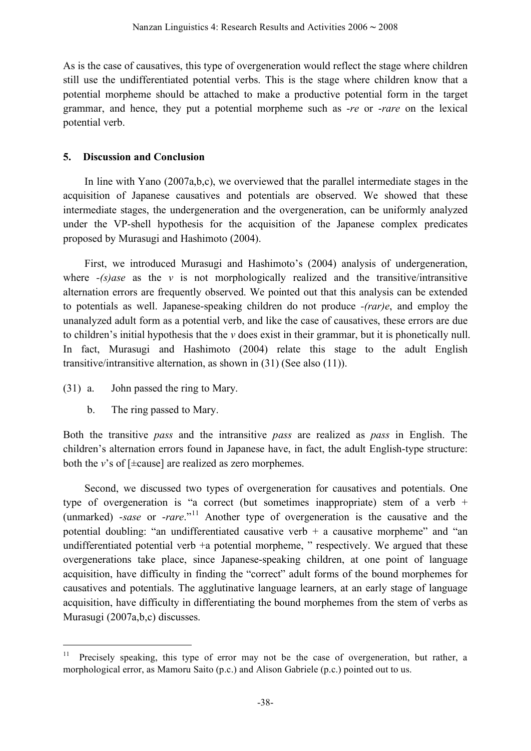As is the case of causatives, this type of overgeneration would reflect the stage where children still use the undifferentiated potential verbs. This is the stage where children know that a potential morpheme should be attached to make a productive potential form in the target grammar, and hence, they put a potential morpheme such as -*re* or -*rare* on the lexical potential verb.

### **5. Discussion and Conclusion**

In line with Yano (2007a,b,c), we overviewed that the parallel intermediate stages in the acquisition of Japanese causatives and potentials are observed. We showed that these intermediate stages, the undergeneration and the overgeneration, can be uniformly analyzed under the VP-shell hypothesis for the acquisition of the Japanese complex predicates proposed by Murasugi and Hashimoto (2004).

First, we introduced Murasugi and Hashimoto's (2004) analysis of undergeneration, where  $-(s)$ *ase* as the *v* is not morphologically realized and the transitive/intransitive alternation errors are frequently observed. We pointed out that this analysis can be extended to potentials as well. Japanese-speaking children do not produce *-(rar)e*, and employ the unanalyzed adult form as a potential verb, and like the case of causatives, these errors are due to children's initial hypothesis that the *v* does exist in their grammar, but it is phonetically null. In fact, Murasugi and Hashimoto (2004) relate this stage to the adult English transitive/intransitive alternation, as shown in (31) (See also (11)).

- (31) a. John passed the ring to Mary.
	- b. The ring passed to Mary.

Both the transitive *pass* and the intransitive *pass* are realized as *pass* in English. The children's alternation errors found in Japanese have, in fact, the adult English-type structure: both the *v*'s of [±cause] are realized as zero morphemes.

Second, we discussed two types of overgeneration for causatives and potentials. One type of overgeneration is "a correct (but sometimes inappropriate) stem of a verb + (unmarked) -*sase* or -*rare*."<sup>11</sup> Another type of overgeneration is the causative and the potential doubling: "an undifferentiated causative verb  $+$  a causative morpheme" and "an undifferentiated potential verb +a potential morpheme, " respectively. We argued that these overgenerations take place, since Japanese-speaking children, at one point of language acquisition, have difficulty in finding the "correct" adult forms of the bound morphemes for causatives and potentials. The agglutinative language learners, at an early stage of language acquisition, have difficulty in differentiating the bound morphemes from the stem of verbs as Murasugi (2007a,b,c) discusses.

<sup>&</sup>lt;sup>11</sup> Precisely speaking, this type of error may not be the case of overgeneration, but rather, a morphological error, as Mamoru Saito (p.c.) and Alison Gabriele (p.c.) pointed out to us.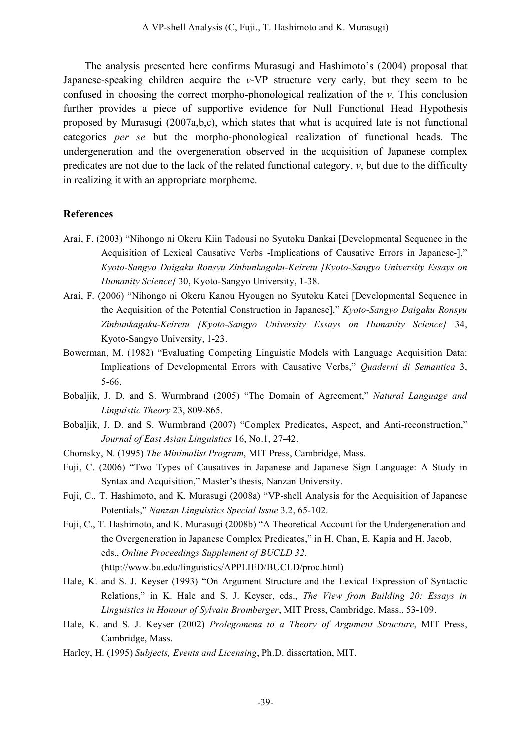The analysis presented here confirms Murasugi and Hashimoto's (2004) proposal that Japanese-speaking children acquire the *v*-VP structure very early, but they seem to be confused in choosing the correct morpho-phonological realization of the *v*. This conclusion further provides a piece of supportive evidence for Null Functional Head Hypothesis proposed by Murasugi (2007a,b,c), which states that what is acquired late is not functional categories *per se* but the morpho-phonological realization of functional heads. The undergeneration and the overgeneration observed in the acquisition of Japanese complex predicates are not due to the lack of the related functional category,  $v$ , but due to the difficulty in realizing it with an appropriate morpheme.

### **References**

- Arai, F. (2003) "Nihongo ni Okeru Kiin Tadousi no Syutoku Dankai [Developmental Sequence in the Acquisition of Lexical Causative Verbs -Implications of Causative Errors in Japanese-]," *Kyoto-Sangyo Daigaku Ronsyu Zinbunkagaku-Keiretu [Kyoto-Sangyo University Essays on Humanity Science]* 30, Kyoto-Sangyo University, 1-38.
- Arai, F. (2006) "Nihongo ni Okeru Kanou Hyougen no Syutoku Katei [Developmental Sequence in the Acquisition of the Potential Construction in Japanese]," *Kyoto-Sangyo Daigaku Ronsyu Zinbunkagaku-Keiretu [Kyoto-Sangyo University Essays on Humanity Science]* 34, Kyoto-Sangyo University, 1-23.
- Bowerman, M. (1982) "Evaluating Competing Linguistic Models with Language Acquisition Data: Implications of Developmental Errors with Causative Verbs," *Quaderni di Semantica* 3, 5-66.
- Bobaljik, J. D. and S. Wurmbrand (2005) "The Domain of Agreement," *Natural Language and Linguistic Theory* 23, 809-865.
- Bobaljik, J. D. and S. Wurmbrand (2007) "Complex Predicates, Aspect, and Anti-reconstruction," *Journal of East Asian Linguistics* 16, No.1, 27-42.
- Chomsky, N. (1995) *The Minimalist Program*, MIT Press, Cambridge, Mass.
- Fuji, C. (2006) "Two Types of Causatives in Japanese and Japanese Sign Language: A Study in Syntax and Acquisition," Master's thesis, Nanzan University.
- Fuji, C., T. Hashimoto, and K. Murasugi (2008a) "VP-shell Analysis for the Acquisition of Japanese Potentials," *Nanzan Linguistics Special Issue* 3.2, 65-102.
- Fuji, C., T. Hashimoto, and K. Murasugi (2008b) "A Theoretical Account for the Undergeneration and the Overgeneration in Japanese Complex Predicates," in H. Chan, E. Kapia and H. Jacob, eds., *Online Proceedings Supplement of BUCLD 32*. (http://www.bu.edu/linguistics/APPLIED/BUCLD/proc.html)
- Hale, K. and S. J. Keyser (1993) "On Argument Structure and the Lexical Expression of Syntactic Relations," in K. Hale and S. J. Keyser, eds., *The View from Building 20: Essays in Linguistics in Honour of Sylvain Bromberger*, MIT Press, Cambridge, Mass., 53-109.
- Hale, K. and S. J. Keyser (2002) *Prolegomena to a Theory of Argument Structure*, MIT Press, Cambridge, Mass.
- Harley, H. (1995) *Subjects, Events and Licensing*, Ph.D. dissertation, MIT.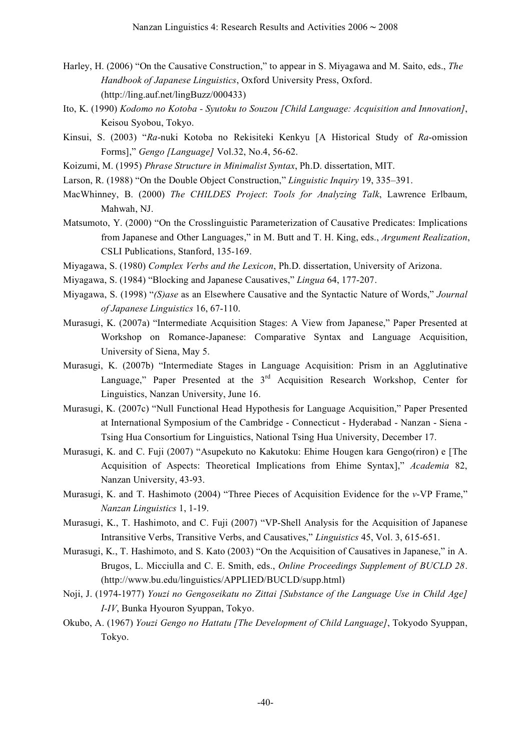- Harley, H. (2006) "On the Causative Construction," to appear in S. Miyagawa and M. Saito, eds., *The Handbook of Japanese Linguistics*, Oxford University Press, Oxford. (http://ling.auf.net/lingBuzz/000433)
- Ito, K. (1990) *Kodomo no Kotoba - Syutoku to Souzou [Child Language: Acquisition and Innovation]*, Keisou Syobou, Tokyo.
- Kinsui, S. (2003) "*Ra*-nuki Kotoba no Rekisiteki Kenkyu [A Historical Study of *Ra*-omission Forms]," *Gengo [Language]* Vol.32, No.4, 56-62.
- Koizumi, M. (1995) *Phrase Structure in Minimalist Syntax*, Ph.D. dissertation, MIT.
- Larson, R. (1988) "On the Double Object Construction," *Linguistic Inquiry* 19, 335–391.
- MacWhinney, B. (2000) *The CHILDES Project*: *Tools for Analyzing Talk*, Lawrence Erlbaum, Mahwah, NJ.
- Matsumoto, Y. (2000) "On the Crosslinguistic Parameterization of Causative Predicates: Implications from Japanese and Other Languages," in M. Butt and T. H. King, eds., *Argument Realization*, CSLI Publications, Stanford, 135-169.
- Miyagawa, S. (1980) *Complex Verbs and the Lexicon*, Ph.D. dissertation, University of Arizona.
- Miyagawa, S. (1984) "Blocking and Japanese Causatives," *Lingua* 64, 177-207.
- Miyagawa, S. (1998) "*(S)ase* as an Elsewhere Causative and the Syntactic Nature of Words," *Journal of Japanese Linguistics* 16, 67-110.
- Murasugi, K. (2007a) "Intermediate Acquisition Stages: A View from Japanese," Paper Presented at Workshop on Romance-Japanese: Comparative Syntax and Language Acquisition, University of Siena, May 5.
- Murasugi, K. (2007b) "Intermediate Stages in Language Acquisition: Prism in an Agglutinative Language," Paper Presented at the  $3<sup>rd</sup>$  Acquisition Research Workshop, Center for Linguistics, Nanzan University, June 16.
- Murasugi, K. (2007c) "Null Functional Head Hypothesis for Language Acquisition," Paper Presented at International Symposium of the Cambridge - Connecticut - Hyderabad - Nanzan - Siena - Tsing Hua Consortium for Linguistics, National Tsing Hua University, December 17.
- Murasugi, K. and C. Fuji (2007) "Asupekuto no Kakutoku: Ehime Hougen kara Gengo(riron) e [The Acquisition of Aspects: Theoretical Implications from Ehime Syntax]," *Academia* 82, Nanzan University, 43-93.
- Murasugi, K. and T. Hashimoto (2004) "Three Pieces of Acquisition Evidence for the *v*-VP Frame," *Nanzan Linguistics* 1, 1-19.
- Murasugi, K., T. Hashimoto, and C. Fuji (2007) "VP-Shell Analysis for the Acquisition of Japanese Intransitive Verbs, Transitive Verbs, and Causatives," *Linguistics* 45, Vol. 3, 615-651.
- Murasugi, K., T. Hashimoto, and S. Kato (2003) "On the Acquisition of Causatives in Japanese," in A. Brugos, L. Micciulla and C. E. Smith, eds., *Online Proceedings Supplement of BUCLD 28*. (http://www.bu.edu/linguistics/APPLIED/BUCLD/supp.html)
- Noji, J. (1974-1977) *Youzi no Gengoseikatu no Zittai [Substance of the Language Use in Child Age] I-IV*, Bunka Hyouron Syuppan, Tokyo.
- Okubo, A. (1967) *Youzi Gengo no Hattatu [The Development of Child Language]*, Tokyodo Syuppan, Tokyo.